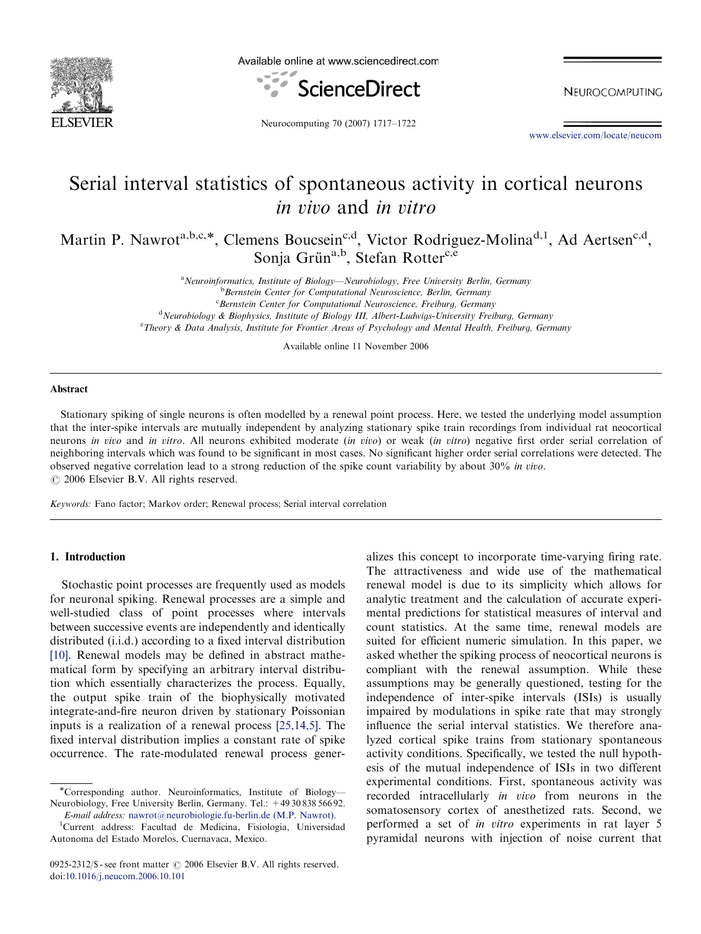

Available online at www.sciencedirect.com



NEUROCOMPUTING

Neurocomputing 70 (2007) 1717–1722

[www.elsevier.com/locate/neucom](http://www.elsevier.com/locate/neucom)

# Serial interval statistics of spontaneous activity in cortical neurons in vivo and in vitro

Martin P. Nawrot<sup>a,b,c,\*</sup>, Clemens Boucsein<sup>c,d</sup>, Victor Rodriguez-Molina<sup>d,1</sup>, Ad Aertsen<sup>c,d</sup>, Sonja Grün<sup>a,b</sup>, Stefan Rotter<sup>c,e</sup>

<sup>a</sup> Neuroinformatics, Institute of Biology—Neurobiology, Free University Berlin, Germany<br>b Bernstein Center for Computational Neurosciance, Berlin, Germany

**Bernstein Center for Computational Neuroscience, Berlin, Germany** 

<sup>c</sup> Bernstein Center for Computational Neuroscience, Freiburg, Germany

<sup>d</sup>Neurobiology & Biophysics, Institute of Biology III, Albert-Ludwigs-University Freiburg, Germany

<sup>e</sup>Theory & Data Analysis, Institute for Frontier Areas of Psychology and Mental Health, Freiburg, Germany

Available online 11 November 2006

#### Abstract

Stationary spiking of single neurons is often modelled by a renewal point process. Here, we tested the underlying model assumption that the inter-spike intervals are mutually independent by analyzing stationary spike train recordings from individual rat neocortical neurons in vivo and in vitro. All neurons exhibited moderate (in vivo) or weak (in vitro) negative first order serial correlation of neighboring intervals which was found to be significant in most cases. No significant higher order serial correlations were detected. The observed negative correlation lead to a strong reduction of the spike count variability by about 30% in vivo.  $\odot$  2006 Elsevier B.V. All rights reserved.

Keywords: Fano factor; Markov order; Renewal process; Serial interval correlation

## 1. Introduction

Stochastic point processes are frequently used as models for neuronal spiking. Renewal processes are a simple and well-studied class of point processes where intervals between successive events are independently and identically distributed (i.i.d.) according to a fixed interval distribution [\[10\].](#page-4-0) Renewal models may be defined in abstract mathematical form by specifying an arbitrary interval distribution which essentially characterizes the process. Equally, the output spike train of the biophysically motivated integrate-and-fire neuron driven by stationary Poissonian inputs is a realization of a renewal process [\[25,14,5\]](#page-4-0). The fixed interval distribution implies a constant rate of spike occurrence. The rate-modulated renewal process generalizes this concept to incorporate time-varying firing rate. The attractiveness and wide use of the mathematical renewal model is due to its simplicity which allows for analytic treatment and the calculation of accurate experimental predictions for statistical measures of interval and count statistics. At the same time, renewal models are suited for efficient numeric simulation. In this paper, we asked whether the spiking process of neocortical neurons is compliant with the renewal assumption. While these assumptions may be generally questioned, testing for the independence of inter-spike intervals (ISIs) is usually impaired by modulations in spike rate that may strongly influence the serial interval statistics. We therefore analyzed cortical spike trains from stationary spontaneous activity conditions. Specifically, we tested the null hypothesis of the mutual independence of ISIs in two different experimental conditions. First, spontaneous activity was recorded intracellularly in vivo from neurons in the somatosensory cortex of anesthetized rats. Second, we performed a set of in vitro experiments in rat layer 5 pyramidal neurons with injection of noise current that

<sup>!</sup>Corresponding author. Neuroinformatics, Institute of Biology— Neurobiology, Free University Berlin, Germany. Tel.: +49 30 838 566 92. E-mail address: [nawrot@neurobiologie.fu-berlin.de](mailto:nawrot@neurobiologie.fu-berlin.de) (M.P. Nawrot). <sup>1</sup>

<sup>&</sup>lt;sup>1</sup>Current address: Facultad de Medicina, Fisiologia, Universidad Autonoma del Estado Morelos, Cuernavaca, Mexico.

<sup>0925-2312/\$ -</sup> see front matter  $\odot$  2006 Elsevier B.V. All rights reserved. doi:[10.1016/j.neucom.2006.10.101](http://dx.doi.org/10.1016/j.neucom.2006.10.101)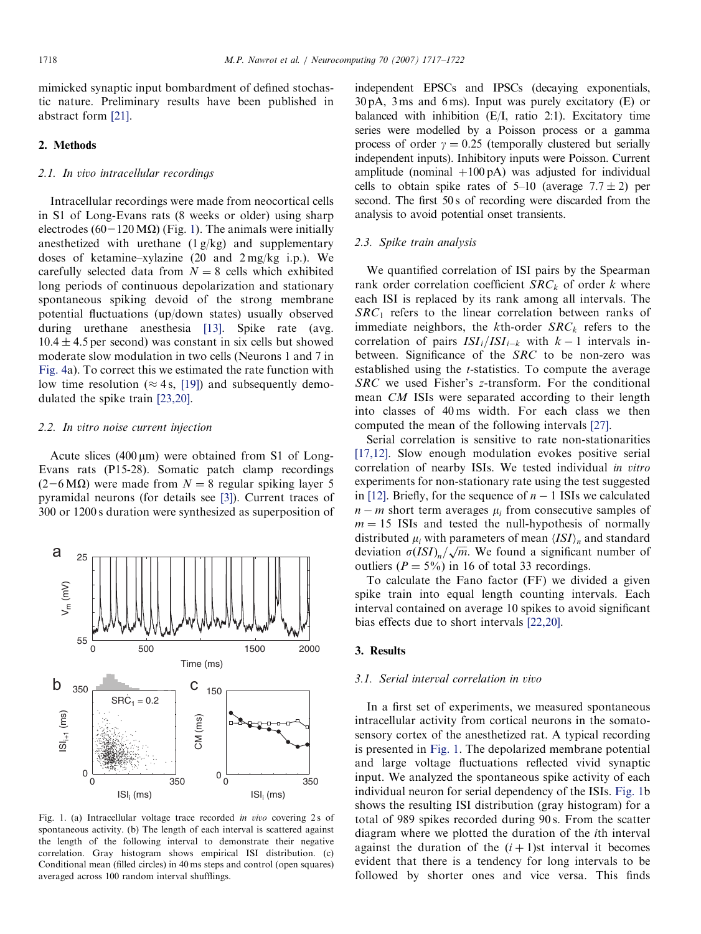<span id="page-1-0"></span>mimicked synaptic input bombardment of defined stochastic nature. Preliminary results have been published in abstract form [\[21\].](#page-4-0)

# 2. Methods

## 2.1. In vivo intracellular recordings

Intracellular recordings were made from neocortical cells in S1 of Long-Evans rats (8 weeks or older) using sharp electrodes  $(60-120 \text{ M}\Omega)$  (Fig. 1). The animals were initially anesthetized with urethane  $(1 g/kg)$  and supplementary doses of ketamine–xylazine (20 and 2 mg/kg i.p.). We carefully selected data from  $N = 8$  cells which exhibited long periods of continuous depolarization and stationary spontaneous spiking devoid of the strong membrane potential fluctuations (up/down states) usually observed during urethane anesthesia [\[13\].](#page-4-0) Spike rate (avg.  $10.4 \pm 4.5$  per second) was constant in six cells but showed moderate slow modulation in two cells (Neurons 1 and 7 in [Fig.](#page-3-0) 4a). To correct this we estimated the rate function with low time resolution ( $\approx$  4 s, [\[19\]](#page-4-0)) and subsequently demodulated the spike train [\[23,20\].](#page-4-0)

#### 2.2. In vitro noise current injection

Acute slices  $(400 \,\mu m)$  were obtained from S1 of Long-Evans rats (P15-28). Somatic patch clamp recordings  $(2-6 M\Omega)$  were made from  $N = 8$  regular spiking layer 5 pyramidal neurons (for details see [\[3\]\)](#page-4-0). Current traces of 300 or 1200 s duration were synthesized as superposition of



Fig. 1. (a) Intracellular voltage trace recorded in vivo covering 2s of spontaneous activity. (b) The length of each interval is scattered against the length of the following interval to demonstrate their negative correlation. Gray histogram shows empirical ISI distribution. (c) Conditional mean (filled circles) in 40 ms steps and control (open squares) averaged across 100 random interval shufflings.

independent EPSCs and IPSCs (decaying exponentials,  $30 \text{ pA}$ , 3 ms and 6 ms). Input was purely excitatory (E) or balanced with inhibition (E/I, ratio 2:1). Excitatory time series were modelled by a Poisson process or a gamma process of order  $\gamma = 0.25$  (temporally clustered but serially independent inputs). Inhibitory inputs were Poisson. Current amplitude (nominal  $+100 \text{ pA}$ ) was adjusted for individual cells to obtain spike rates of 5–10 (average  $7.7 \pm 2$ ) per second. The first 50 s of recording were discarded from the analysis to avoid potential onset transients.

#### 2.3. Spike train analysis

We quantified correlation of ISI pairs by the Spearman rank order correlation coefficient  $SRC_k$  of order k where each ISI is replaced by its rank among all intervals. The  $SRC<sub>1</sub>$  refers to the linear correlation between ranks of immediate neighbors, the kth-order  $SRC_k$  refers to the correlation of pairs  $ISI_i/ISI_{i-k}$  with  $k-1$  intervals inbetween. Significance of the SRC to be non-zero was established using the t-statistics. To compute the average SRC we used Fisher's z-transform. For the conditional mean CM ISIs were separated according to their length into classes of 40 ms width. For each class we then computed the mean of the following intervals [\[27\]](#page-4-0).

Serial correlation is sensitive to rate non-stationarities [\[17,12\].](#page-4-0) Slow enough modulation evokes positive serial correlation of nearby ISIs. We tested individual in vitro experiments for non-stationary rate using the test suggested in [\[12\]](#page-4-0). Briefly, for the sequence of  $n - 1$  ISIs we calculated  $n - m$  short term averages  $\mu_i$  from consecutive samples of  $m = 15$  ISIs and tested the null-hypothesis of normally distributed  $\mu_i$ , with parameters of mean  $\langle ISI \rangle$ , and standard deviation  $\sigma(\text{ISI})_n/\sqrt{m}$ . We found a significant number of outliers ( $P = 5\%$ ) in 16 of total 33 recordings.

To calculate the Fano factor (FF) we divided a given spike train into equal length counting intervals. Each interval contained on average 10 spikes to avoid significant bias effects due to short intervals [\[22,20\]](#page-4-0).

## 3. Results

## 3.1. Serial interval correlation in vivo

In a first set of experiments, we measured spontaneous intracellular activity from cortical neurons in the somatosensory cortex of the anesthetized rat. A typical recording is presented in Fig. 1. The depolarized membrane potential and large voltage fluctuations reflected vivid synaptic input. We analyzed the spontaneous spike activity of each individual neuron for serial dependency of the ISIs. Fig. 1b shows the resulting ISI distribution (gray histogram) for a total of 989 spikes recorded during 90 s. From the scatter diagram where we plotted the duration of the ith interval against the duration of the  $(i + 1)$ st interval it becomes evident that there is a tendency for long intervals to be followed by shorter ones and vice versa. This finds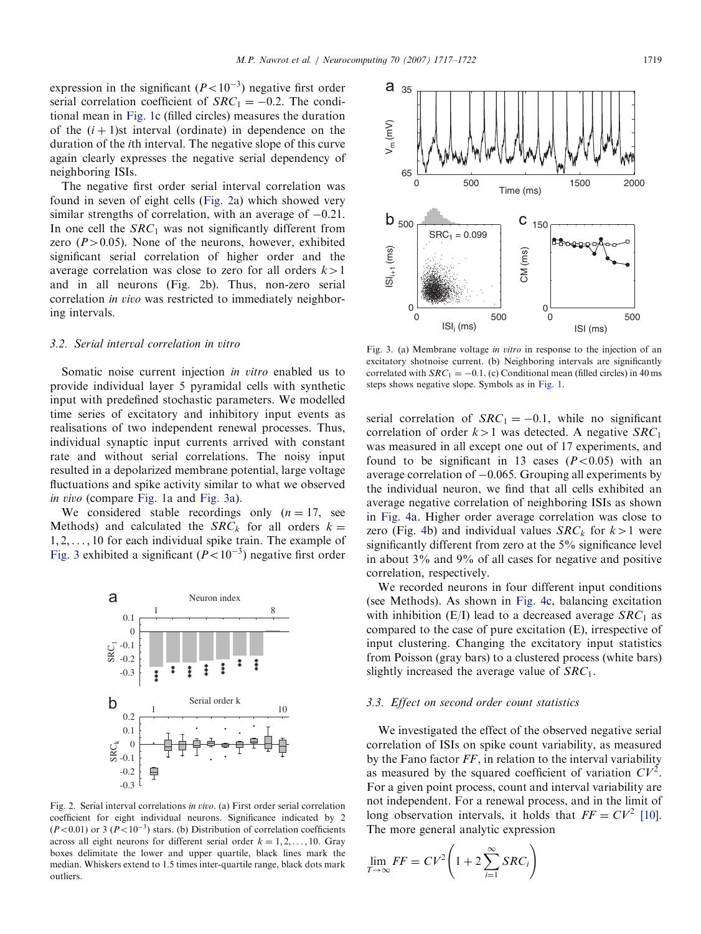expression in the significant  $(P<10^{-3})$  negative first order serial correlation coefficient of  $SRC_1 = -0.2$ . The conditional mean in [Fig.](#page-1-0) 1c (filled circles) measures the duration of the  $(i + 1)$ st interval (ordinate) in dependence on the duration of the ith interval. The negative slope of this curve again clearly expresses the negative serial dependency of neighboring ISIs.

The negative first order serial interval correlation was found in seven of eight cells (Fig. 2a) which showed very similar strengths of correlation, with an average of  $-0.21$ . In one cell the  $SRC<sub>1</sub>$  was not significantly different from zero  $(P>0.05)$ . None of the neurons, however, exhibited significant serial correlation of higher order and the average correlation was close to zero for all orders  $k>1$ and in all neurons (Fig. 2b). Thus, non-zero serial correlation in vivo was restricted to immediately neighboring intervals.

# 3.2. Serial interval correlation in vitro

Somatic noise current injection in vitro enabled us to provide individual layer 5 pyramidal cells with synthetic input with predefined stochastic parameters. We modelled time series of excitatory and inhibitory input events as realisations of two independent renewal processes. Thus, individual synaptic input currents arrived with constant rate and without serial correlations. The noisy input resulted in a depolarized membrane potential, large voltage fluctuations and spike activity similar to what we observed in vivo (compare [Fig.](#page-1-0) 1a and Fig. 3a).

We considered stable recordings only  $(n = 17, \text{ sec})$ Methods) and calculated the  $SRC_k$  for all orders  $k =$  $1, 2, \ldots, 10$  for each individual spike train. The example of Fig. 3 exhibited a significant  $(P<10^{-3})$  negative first order



Fig. 2. Serial interval correlations in vivo. (a) First order serial correlation coefficient for eight individual neurons. Significance indicated by 2  $(P<0.01)$  or 3  $(P<10^{-3})$  stars. (b) Distribution of correlation coefficients across all eight neurons for different serial order  $k = 1, 2, \ldots, 10$ . Gray boxes delimitate the lower and upper quartile, black lines mark the median. Whiskers extend to 1:5 times inter-quartile range, black dots mark outliers.



Fig. 3. (a) Membrane voltage in vitro in response to the injection of an excitatory shotnoise current. (b) Neighboring intervals are significantly correlated with  $SRC_1 = -0.1$ . (c) Conditional mean (filled circles) in 40 ms steps shows negative slope. Symbols as in [Fig.](#page-1-0) 1.

serial correlation of  $SRC_1 = -0.1$ , while no significant correlation of order  $k>1$  was detected. A negative  $SRC_1$ was measured in all except one out of 17 experiments, and found to be significant in 13 cases  $(P<0.05)$  with an average correlation of  $-0.065$ . Grouping all experiments by the individual neuron, we find that all cells exhibited an average negative correlation of neighboring ISIs as shown in [Fig.](#page-3-0) 4a. Higher order average correlation was close to zero (Fig. [4b](#page-3-0)) and individual values  $SRC_k$  for  $k>1$  were significantly different from zero at the 5% significance level in about 3% and 9% of all cases for negative and positive correlation, respectively.

We recorded neurons in four different input conditions (see Methods). As shown in [Fig.](#page-3-0) 4c, balancing excitation with inhibition (E/I) lead to a decreased average  $SRC<sub>1</sub>$  as compared to the case of pure excitation (E), irrespective of input clustering. Changing the excitatory input statistics from Poisson (gray bars) to a clustered process (white bars) slightly increased the average value of  $SRC<sub>1</sub>$ .

## 3.3. Effect on second order count statistics

We investigated the effect of the observed negative serial correlation of ISIs on spike count variability, as measured by the Fano factor  $FF$ , in relation to the interval variability as measured by the squared coefficient of variation  $CV^2$ . For a given point process, count and interval variability are not independent. For a renewal process, and in the limit of long observation intervals, it holds that  $FF = CV^2$  [\[10\].](#page-4-0) The more general analytic expression

$$
\lim_{T \to \infty} FF = CV^2 \left( 1 + 2 \sum_{i=1}^{\infty} SRC_i \right)
$$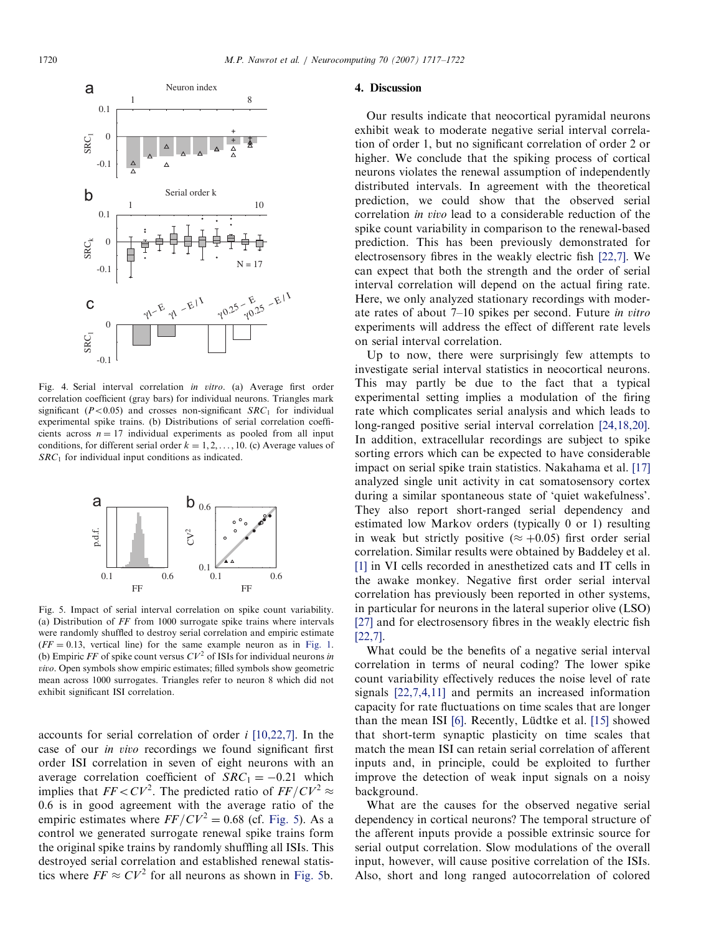<span id="page-3-0"></span>

Fig. 4. Serial interval correlation in vitro. (a) Average first order correlation coefficient (gray bars) for individual neurons. Triangles mark significant ( $P < 0.05$ ) and crosses non-significant  $SRC<sub>1</sub>$  for individual experimental spike trains. (b) Distributions of serial correlation coefficients across  $n = 17$  individual experiments as pooled from all input conditions, for different serial order  $k = 1, 2, \ldots, 10$ . (c) Average values of  $SRC<sub>1</sub>$  for individual input conditions as indicated.



Fig. 5. Impact of serial interval correlation on spike count variability. (a) Distribution of FF from 1000 surrogate spike trains where intervals were randomly shuffled to destroy serial correlation and empiric estimate  $(FF = 0.13$ , vertical line) for the same example neuron as in [Fig.](#page-1-0) 1. (b) Empiric FF of spike count versus  $CV^2$  of ISIs for individual neurons in vivo. Open symbols show empiric estimates; filled symbols show geometric mean across 1000 surrogates. Triangles refer to neuron 8 which did not exhibit significant ISI correlation.

accounts for serial correlation of order  $i$  [\[10,22,7\].](#page-4-0) In the case of our in vivo recordings we found significant first order ISI correlation in seven of eight neurons with an average correlation coefficient of  $SRC_1 = -0.21$  which implies that  $FF < CV^2$ . The predicted ratio of  $FF/CV^2 \approx$ 0:6 is in good agreement with the average ratio of the empiric estimates where  $FF/CV^2 = 0.68$  (cf. Fig. 5). As a control we generated surrogate renewal spike trains form the original spike trains by randomly shuffling all ISIs. This destroyed serial correlation and established renewal statistics where  $FF \approx CV^2$  for all neurons as shown in Fig. 5b.

#### 4. Discussion

Our results indicate that neocortical pyramidal neurons exhibit weak to moderate negative serial interval correlation of order 1, but no significant correlation of order 2 or higher. We conclude that the spiking process of cortical neurons violates the renewal assumption of independently distributed intervals. In agreement with the theoretical prediction, we could show that the observed serial correlation in vivo lead to a considerable reduction of the spike count variability in comparison to the renewal-based prediction. This has been previously demonstrated for electrosensory fibres in the weakly electric fish [\[22,7\].](#page-4-0) We can expect that both the strength and the order of serial interval correlation will depend on the actual firing rate. Here, we only analyzed stationary recordings with moderate rates of about 7–10 spikes per second. Future in vitro experiments will address the effect of different rate levels on serial interval correlation.

Up to now, there were surprisingly few attempts to investigate serial interval statistics in neocortical neurons. This may partly be due to the fact that a typical experimental setting implies a modulation of the firing rate which complicates serial analysis and which leads to long-ranged positive serial interval correlation [\[24,18,20\]](#page-4-0). In addition, extracellular recordings are subject to spike sorting errors which can be expected to have considerable impact on serial spike train statistics. Nakahama et al. [\[17\]](#page-4-0) analyzed single unit activity in cat somatosensory cortex during a similar spontaneous state of 'quiet wakefulness'. They also report short-ranged serial dependency and estimated low Markov orders (typically 0 or 1) resulting in weak but strictly positive ( $\approx +0.05$ ) first order serial correlation. Similar results were obtained by Baddeley et al. [\[1\]](#page-4-0) in VI cells recorded in anesthetized cats and IT cells in the awake monkey. Negative first order serial interval correlation has previously been reported in other systems, in particular for neurons in the lateral superior olive (LSO) [\[27\]](#page-4-0) and for electrosensory fibres in the weakly electric fish [\[22,7\].](#page-4-0)

What could be the benefits of a negative serial interval correlation in terms of neural coding? The lower spike count variability effectively reduces the noise level of rate signals [\[22,7,4,11\]](#page-4-0) and permits an increased information capacity for rate fluctuations on time scales that are longer than the mean ISI [\[6\]](#page-4-0). Recently, Lüdtke et al. [\[15\]](#page-4-0) showed that short-term synaptic plasticity on time scales that match the mean ISI can retain serial correlation of afferent inputs and, in principle, could be exploited to further improve the detection of weak input signals on a noisy background.

What are the causes for the observed negative serial dependency in cortical neurons? The temporal structure of the afferent inputs provide a possible extrinsic source for serial output correlation. Slow modulations of the overall input, however, will cause positive correlation of the ISIs. Also, short and long ranged autocorrelation of colored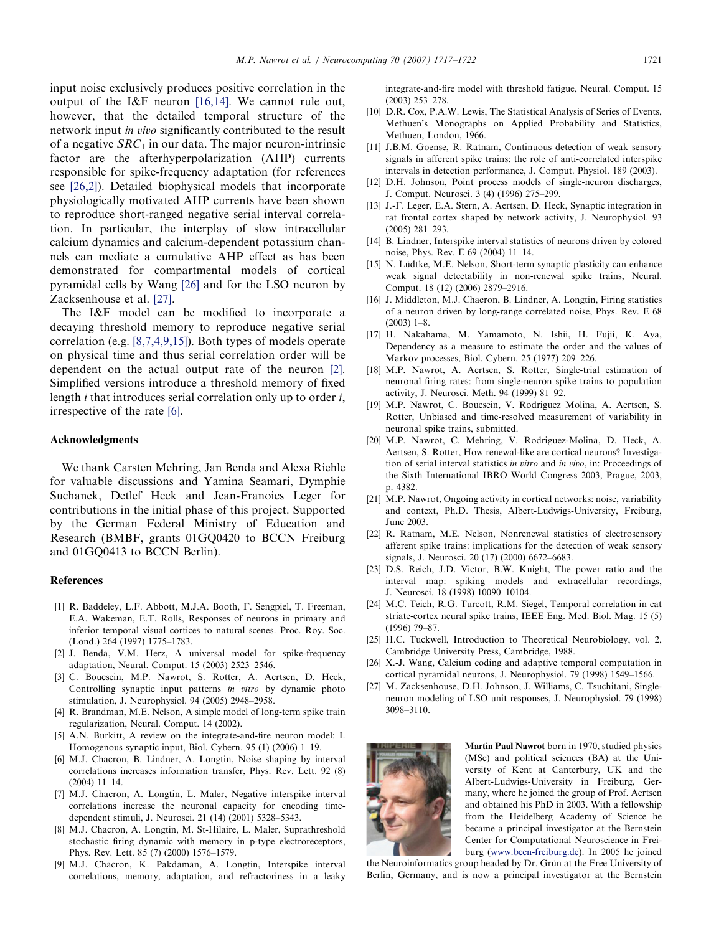<span id="page-4-0"></span>input noise exclusively produces positive correlation in the output of the I&F neuron [16,14]. We cannot rule out, however, that the detailed temporal structure of the network input in vivo significantly contributed to the result of a negative  $SRC<sub>1</sub>$  in our data. The major neuron-intrinsic factor are the afterhyperpolarization (AHP) currents responsible for spike-frequency adaptation (for references see [26,2]). Detailed biophysical models that incorporate physiologically motivated AHP currents have been shown to reproduce short-ranged negative serial interval correlation. In particular, the interplay of slow intracellular calcium dynamics and calcium-dependent potassium channels can mediate a cumulative AHP effect as has been demonstrated for compartmental models of cortical pyramidal cells by Wang [26] and for the LSO neuron by Zacksenhouse et al. [27].

The I&F model can be modified to incorporate a decaying threshold memory to reproduce negative serial correlation (e.g. [8,7,4,9,15]). Both types of models operate on physical time and thus serial correlation order will be dependent on the actual output rate of the neuron [2]. Simplified versions introduce a threshold memory of fixed length *i* that introduces serial correlation only up to order *i*, irrespective of the rate [6].

## Acknowledgments

We thank Carsten Mehring, Jan Benda and Alexa Riehle for valuable discussions and Yamina Seamari, Dymphie Suchanek, Detlef Heck and Jean-Franoics Leger for contributions in the initial phase of this project. Supported by the German Federal Ministry of Education and Research (BMBF, grants 01GQ0420 to BCCN Freiburg and 01GQ0413 to BCCN Berlin).

#### References

- [1] R. Baddeley, L.F. Abbott, M.J.A. Booth, F. Sengpiel, T. Freeman, E.A. Wakeman, E.T. Rolls, Responses of neurons in primary and inferior temporal visual cortices to natural scenes. Proc. Roy. Soc. (Lond.) 264 (1997) 1775–1783.
- [2] J. Benda, V.M. Herz, A universal model for spike-frequency adaptation, Neural. Comput. 15 (2003) 2523–2546.
- [3] C. Boucsein, M.P. Nawrot, S. Rotter, A. Aertsen, D. Heck, Controlling synaptic input patterns in vitro by dynamic photo stimulation, J. Neurophysiol. 94 (2005) 2948–2958.
- [4] R. Brandman, M.E. Nelson, A simple model of long-term spike train regularization, Neural. Comput. 14 (2002).
- [5] A.N. Burkitt, A review on the integrate-and-fire neuron model: I. Homogenous synaptic input, Biol. Cybern. 95 (1) (2006) 1–19.
- [6] M.J. Chacron, B. Lindner, A. Longtin, Noise shaping by interval correlations increases information transfer, Phys. Rev. Lett. 92 (8) (2004) 11–14.
- [7] M.J. Chacron, A. Longtin, L. Maler, Negative interspike interval correlations increase the neuronal capacity for encoding timedependent stimuli, J. Neurosci. 21 (14) (2001) 5328–5343.
- [8] M.J. Chacron, A. Longtin, M. St-Hilaire, L. Maler, Suprathreshold stochastic firing dynamic with memory in p-type electroreceptors, Phys. Rev. Lett. 85 (7) (2000) 1576–1579.
- [9] M.J. Chacron, K. Pakdaman, A. Longtin, Interspike interval correlations, memory, adaptation, and refractoriness in a leaky

integrate-and-fire model with threshold fatigue, Neural. Comput. 15 (2003) 253–278.

- [10] D.R. Cox, P.A.W. Lewis, The Statistical Analysis of Series of Events, Methuen's Monographs on Applied Probability and Statistics, Methuen, London, 1966.
- [11] J.B.M. Goense, R. Ratnam, Continuous detection of weak sensory signals in afferent spike trains: the role of anti-correlated interspike intervals in detection performance, J. Comput. Physiol. 189 (2003).
- [12] D.H. Johnson, Point process models of single-neuron discharges, J. Comput. Neurosci. 3 (4) (1996) 275–299.
- [13] J.-F. Leger, E.A. Stern, A. Aertsen, D. Heck, Synaptic integration in rat frontal cortex shaped by network activity, J. Neurophysiol. 93 (2005) 281–293.
- [14] B. Lindner, Interspike interval statistics of neurons driven by colored noise, Phys. Rev. E 69 (2004) 11–14.
- [15] N. Lüdtke, M.E. Nelson, Short-term synaptic plasticity can enhance weak signal detectability in non-renewal spike trains, Neural. Comput. 18 (12) (2006) 2879–2916.
- [16] J. Middleton, M.J. Chacron, B. Lindner, A. Longtin, Firing statistics of a neuron driven by long-range correlated noise, Phys. Rev. E 68  $(2003)$  1–8
- [17] H. Nakahama, M. Yamamoto, N. Ishii, H. Fujii, K. Aya, Dependency as a measure to estimate the order and the values of Markov processes, Biol. Cybern. 25 (1977) 209–226.
- [18] M.P. Nawrot, A. Aertsen, S. Rotter, Single-trial estimation of neuronal firing rates: from single-neuron spike trains to population activity, J. Neurosci. Meth. 94 (1999) 81–92.
- [19] M.P. Nawrot, C. Boucsein, V. Rodriguez Molina, A. Aertsen, S. Rotter, Unbiased and time-resolved measurement of variability in neuronal spike trains, submitted.
- [20] M.P. Nawrot, C. Mehring, V. Rodriguez-Molina, D. Heck, A. Aertsen, S. Rotter, How renewal-like are cortical neurons? Investigation of serial interval statistics in vitro and in vivo, in: Proceedings of the Sixth International IBRO World Congress 2003, Prague, 2003, p. 4382.
- [21] M.P. Nawrot, Ongoing activity in cortical networks: noise, variability and context, Ph.D. Thesis, Albert-Ludwigs-University, Freiburg, June 2003.
- [22] R. Ratnam, M.E. Nelson, Nonrenewal statistics of electrosensory afferent spike trains: implications for the detection of weak sensory signals, J. Neurosci. 20 (17) (2000) 6672–6683.
- [23] D.S. Reich, J.D. Victor, B.W. Knight, The power ratio and the interval map: spiking models and extracellular recordings, J. Neurosci. 18 (1998) 10090–10104.
- [24] M.C. Teich, R.G. Turcott, R.M. Siegel, Temporal correlation in cat striate-cortex neural spike trains, IEEE Eng. Med. Biol. Mag. 15 (5) (1996) 79–87.
- [25] H.C. Tuckwell, Introduction to Theoretical Neurobiology, vol. 2, Cambridge University Press, Cambridge, 1988.
- [26] X.-J. Wang, Calcium coding and adaptive temporal computation in cortical pyramidal neurons, J. Neurophysiol. 79 (1998) 1549–1566.
- [27] M. Zacksenhouse, D.H. Johnson, J. Williams, C. Tsuchitani, Singleneuron modeling of LSO unit responses, J. Neurophysiol. 79 (1998) 3098–3110.



Martin Paul Nawrot born in 1970, studied physics (MSc) and political sciences (BA) at the University of Kent at Canterbury, UK and the Albert-Ludwigs-University in Freiburg, Germany, where he joined the group of Prof. Aertsen and obtained his PhD in 2003. With a fellowship from the Heidelberg Academy of Science he became a principal investigator at the Bernstein Center for Computational Neuroscience in Freiburg [\(www.bccn-freiburg.de\)](http://www.bccn-freiburg.de). In 2005 he joined

the Neuroinformatics group headed by Dr. Grün at the Free University of Berlin, Germany, and is now a principal investigator at the Bernstein